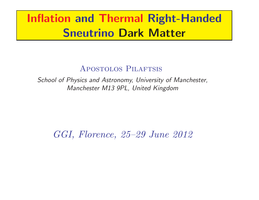# Inflation and Thermal Right-Handed Sneutrino Dark Matter

## Apostolos Pilaftsis

School of Physics and Astronomy, University of Manchester, Manchester M13 9PL, United Kingdom

GGI, Florence, 25–29 June 2012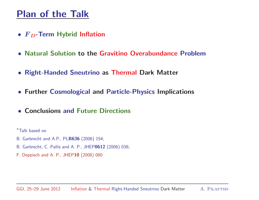## Plan of the Talk

- $F_D$ -Term Hybrid Inflation
- Natural Solution to the Gravitino Overabundance Problem
- Right-Handed Sneutrino as Thermal Dark Matter
- Further Cosmological and Particle-Physics Implications
- Conclusions and Future Directions

<sup>∗</sup>Talk based on

- B. Garbrecht and A.P., PLB636 (2006) 154;
- B. Garbrecht, C. Pallis and A. P., JHEP0612 (2006) 038;
- F. Deppisch and A. P., JHEP10 (2008) <sup>080</sup>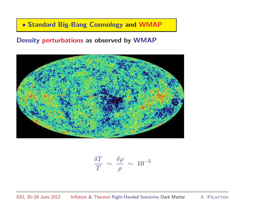• Standard Big-Bang Cosmology and WMAP

#### Density perturbations as observed by WMAP



$$
\frac{\delta T}{T} \sim \frac{\delta \rho}{\rho} \sim 10^{-5}
$$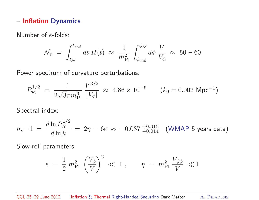#### – Inflation Dynamics

Number of <sup>e</sup>-folds:

$$
\mathcal{N}_e = \int_{t_{\mathcal{N}}}^{t_{\text{end}}} dt \ H(t) \ \approx \ \frac{1}{m_{\text{Pl}}^2} \int_{\phi_{\text{end}}}^{\phi_{\mathcal{N}}} d\phi \ \frac{V}{V_{\phi}} \ \approx \ 50 - 60
$$

Power spectrum of curvature perturbations:

$$
P_{\mathcal{R}}^{1/2} = \frac{1}{2\sqrt{3}\pi m_{\rm Pl}^3} \frac{V^{3/2}}{|V_{\phi}|} \approx 4.86 \times 10^{-5} \qquad (k_0 = 0.002 \text{ Mpc}^{-1})
$$

Spectral index:

$$
n_s - 1 = \frac{d \ln P_{\mathcal{R}}^{1/2}}{d \ln k} = 2\eta - 6\varepsilon \approx -0.037_{-0.014}^{+0.015} \quad \text{(WMAP 5 years data)}
$$

Slow-roll parameters:

$$
\varepsilon = \frac{1}{2} m_{\rm Pl}^2 \left(\frac{V_\phi}{V}\right)^2 \ll 1 , \qquad \eta = m_{\rm Pl}^2 \frac{V_{\phi\phi}}{V} \ll 1
$$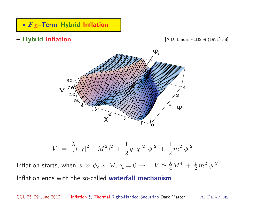### •  $F_D$ -Term Hybrid Inflation

– Hybrid Inflation [A.D. Linde, PLB259 (1991) 38]



$$
V = \frac{\lambda}{4}(|\chi|^2 - M^2)^2 + \frac{1}{2}g|\chi|^2|\phi|^2 + \frac{1}{2}m^2|\phi|^2
$$

Inflation starts, when  $\phi \gg \phi_c \sim M$ ,  $\chi = 0 \to V \simeq \frac{\lambda}{4} M^4 + \frac{1}{2} m^2 |\phi|^2$ Inflation ends with the so-called waterfall mechanism

GGI, 25–29 June 2012 Inflation & Thermal Right-Handed Sneutrino Dark Matter A. Pilaftsis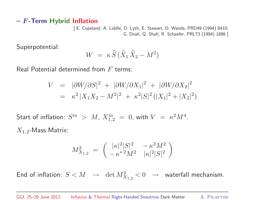#### $-$  F-Term Hybrid Inflation

[ E. Copeland, A. Liddle, D. Lyth, E. Stewart, D. Wands, PRD49 (1994) 6410; G. Dvali, Q. Shafi, R. Schaefer, PRL73 (1994) <sup>1886</sup> ]

Superpotential:

$$
W = \kappa \, \widehat{S} \, (\widehat{X}_1 \, \widehat{X}_2 - M^2)
$$

Real Potential determined from  $F$  terms:

$$
V = |\partial W/\partial S|^2 + |\partial W/\partial X_1|^2 + |\partial W/\partial X_2|^2
$$
  
=  $\kappa^2 |X_1 X_2 - M^2|^2 + \kappa^2 |S|^2 (|X_1|^2 + |X_2|^2)$ 

Start of inflation:  $S^{\text{in}} > M$ ,  $X_{1,2}^{\text{in}} = 0$ , with  $V = \kappa^2 M^4$ .  $X_{1,2}$ -Mass Matrix:

$$
M_{X_{1,2}}^2 = \begin{pmatrix} |\kappa|^2 |S|^2 & -\kappa^2 M^2\\ -\kappa^{*2} M^2 & |\kappa|^2 |S|^2 \end{pmatrix}
$$

End of inflation:  $S < M \ \to \ \det M_{X_{1,2}}^2 < 0 \ \to \ \$  waterfall mechanism.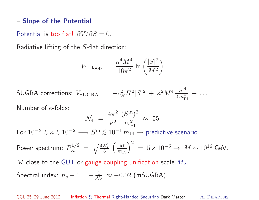#### – Slope of the Potential

Potential is too flat!  $\partial V/\partial S = 0$ .

Radiative lifting of the S-flat direction:

$$
V_{1-\text{loop}} = \frac{\kappa^4 M^4}{16\pi^2} \ln\left(\frac{|S|^2}{M^2}\right)
$$

SUGRA corrections:  $V_{\text{SUGRA}} = -c_H^2 H^2 |S|^2 + \kappa^2 M^4 \frac{|S|^4}{2 m_{\text{Pl}}^4} + \dots$ 

Number of <sup>e</sup>-folds:

$$
\mathcal{N}_e = \frac{4\pi^2}{\kappa^2} \frac{(S^{\rm in})^2}{m_{\rm Pl}^2} \approx 55
$$

For  $10^{-3} \leq \kappa \leq 10^{-2} \longrightarrow S^{\text{in}} \leq 10^{-1} m_{\text{Pl}} \longrightarrow$  predictive scenario

Power spectrum:  $P_{\mathcal{R}}^{1/2} = \sqrt{\frac{4\mathcal{N}_e}{3}} \left(\frac{M}{m_{\text{Pl}}}\right)^2 = 5 \times 10^{-5} \rightarrow M \sim 10^{16} \text{ GeV}.$ 

 $M$  close to the GUT or gauge-coupling unification scale  $M_X$ .

Spectral index:  $n_s - 1 = -\frac{1}{N_e} \approx -0.02$  (mSUGRA).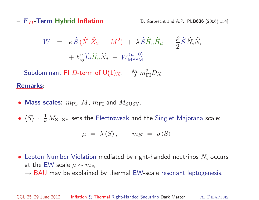$- F<sub>D</sub>$ -Term Hybrid Inflation [B. Garbrecht and A.P., PLB636 (2006) 154]

$$
W = \kappa \widehat{S} \left( \widehat{X}_1 \widehat{X}_2 - M^2 \right) + \lambda \widehat{S} \widehat{H}_u \widehat{H}_d + \frac{\rho}{2} \widehat{S} \widehat{N}_i \widehat{N}_i
$$

$$
+ h_{ij}^\nu \widehat{L}_i \widehat{H}_u \widehat{N}_j + W_{\text{MSSM}}^{(\mu=0)}
$$

+ Subdominant FI D-term of  $U(1)_X$ :  $-\frac{g_X}{2} m_{\rm FI}^2 D_X$ 

#### Remarks:

- Mass scales:  $m_{\text{Pl}}$ ,  $M$ ,  $m_{\text{FI}}$  and  $M_{\text{SUSY}}$ .
- $\langle S \rangle \sim \frac{1}{\kappa} M_{\rm SUSY}$  sets the Electroweak and the Singlet Majorana scale:

$$
\mu = \lambda \langle S \rangle, \qquad m_N = \rho \langle S \rangle
$$

- Lepton Number Violation mediated by right-handed neutrinos  $N_i$  occurs at the EW scale  $\mu \sim m_N$ .
	- $\rightarrow$  BAU may be explained by thermal EW-scale resonant leptogenesis.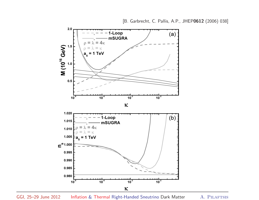

GGI, 25–29 June 2012 Inflation & Thermal Right-Handed Sneutrino Dark Matter A. Pilaftsis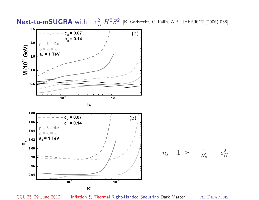Next-to-mSUGRA with  $-c_H^2 H^2S^2$  [B. Garbrecht, C. Pallis, A.P., JHEP0612 (2006) 038]



GGI, 25–29 June 2012 Inflation & Thermal Right-Handed Sneutrino Dark Matter A. Pilaftsis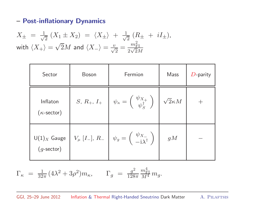#### – Post-inflationary Dynamics

$$
X_{\pm} = \frac{1}{\sqrt{2}} (X_1 \pm X_2) = \langle X_{\pm} \rangle + \frac{1}{\sqrt{2}} (R_{\pm} + iI_{\pm}),
$$
  
with  $\langle X_{+} \rangle = \sqrt{2}M$  and  $\langle X_{-} \rangle = \frac{v}{\sqrt{2}} = \frac{m_{\text{FI}}^2}{2\sqrt{2}M}$ 

| Sector                                | <b>Boson</b> | Fermion                                                                                                                  | Mass               | $D$ -parity |
|---------------------------------------|--------------|--------------------------------------------------------------------------------------------------------------------------|--------------------|-------------|
| Inflaton<br>$(\kappa\text{-sector})$  |              | S, R <sub>+</sub> , I <sub>+</sub> $\psi_{\kappa} = \begin{pmatrix} \psi_{X_+} \\ \psi_{\kappa}^{\dagger} \end{pmatrix}$ | $\sqrt{2}\kappa M$ |             |
| $U(1)_X$ Gauge<br>$(g\text{-sector})$ |              | $V_{\mu}$ [I_], R_ $\psi_g = \begin{pmatrix} \psi_{X_{-}} \\ -i\lambda^{\dagger} \end{pmatrix}$                          | gM                 |             |

$$
\Gamma_{\kappa} = \frac{1}{32\pi} (4\lambda^2 + 3\rho^2) m_{\kappa}, \qquad \Gamma_g = \frac{g^2}{128\pi} \frac{m_{\rm FI}^4}{M^4} m_g.
$$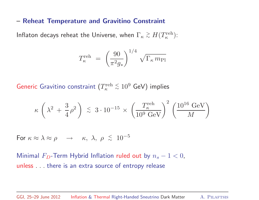#### – Reheat Temperature and Gravitino Constraint

Inflaton decays reheat the Universe, when  $\Gamma_\kappa$  $\gtrsim H(T_{\kappa}^{\text{reh}})$ :

$$
T_{\kappa}^{\text{reh}}\ =\ \left(\frac{90}{\pi^2 g_*}\right)^{1/4}\, \sqrt{\Gamma_{\kappa}\, m_{\text{Pl}}}
$$

Generic Gravitino constraint  $(T_\kappa^\mathrm{reh}$  $\lesssim 10^9$  GeV) implies

$$
\kappa\,\left(\,\lambda^2\,+\,\frac{3}{4}\,\rho^2\,\right)\;\lesssim\;3\cdot10^{-15}\,\times\, \left(\frac{T_\kappa^{\rm reh}}{10^9\,\text{GeV}}\right)^2\,\left(\frac{10^{16}\,\text{GeV}}{M}\right)
$$

For  $\kappa \approx \lambda \approx \rho \quad \rightarrow \quad \kappa, \; \lambda, \; \rho \; \stackrel{<}{\scriptstyle \sim} \; 10^{-5}$ 

Minimal  $F_D\text{-}\mathsf{Term}\,$  Hybrid Inflation ruled out by  $n_s-1 < 0,$ unless . . . there is an extra source of entropy release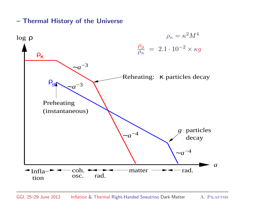– Thermal History of the Universe

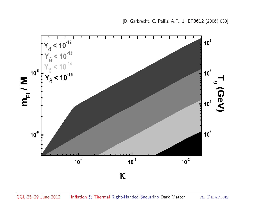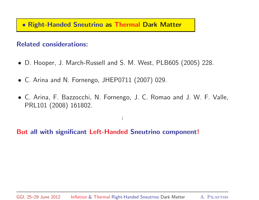#### • Right-Handed Sneutrino as Thermal Dark Matter

#### Related considerations:

- D. Hooper, J. March-Russell and S. M. West, PLB605 (2005) 228.
- C. Arina and N. Fornengo, JHEP0711 (2007) 029.
- C. Arina, F. Bazzocchi, N. Fornengo, J. C. Romao and J. W. F. Valle, PRL101 (2008) 161802.

...

But all with significant Left-Handed Sneutrino component!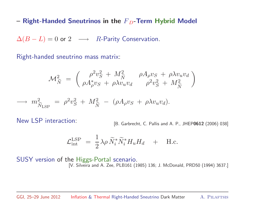– Right-Handed Sneutrinos in the  $F<sub>D</sub>$ -Term Hybrid Model

 $\Delta(B - L) = 0$  or  $2 \longrightarrow R$ -Parity Conservation.

Right-handed sneutrino mass matrix:

$$
\mathcal{M}_{\tilde{N}}^2 = \begin{pmatrix} \rho^2 v_S^2 + M_{\tilde{N}}^2 & \rho A_{\rho} v_S + \rho \lambda v_u v_d \\ \rho A_{\rho}^* v_S + \rho \lambda v_u v_d & \rho^2 v_S^2 + M_{\tilde{N}}^2 \end{pmatrix}
$$

$$
\longrightarrow m_{\widetilde{N}_{\text{LSP}}}^2 = \rho^2 v_S^2 + M_{\widetilde{N}}^2 - (\rho A_\rho v_S + \rho \lambda v_u v_d).
$$

New LSP interaction: [B. Garbrecht, C. Pallis and A. P., JHEP0612 (2006) 038]

$$
\mathcal{L}_{int}^{LSP} = \frac{1}{2} \lambda \rho \, \widetilde{N}_i^* \widetilde{N}_i^* H_u H_d + H.c.
$$

SUSY version of the Higgs-Portal scenario. [V. Silveira and A. Zee, PLB161 (1985) 136; J. McDonald, PRD50 (1994) 3637.]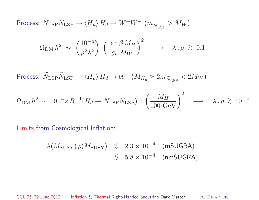Process:  $\widetilde{N}_{\rm LSP}\widetilde{N}_{\rm LSP} \to \braket{H_u}{H_d} \to W^+W^ (m_{\widetilde{N}_{\rm LSP}}>M_W)$ 

$$
\Omega_{\rm DM} h^2 \sim \left(\frac{10^{-4}}{\rho^2 \lambda^2}\right) \left(\frac{\tan \beta M_H}{g_w M_W}\right)^2 \longrightarrow \lambda, \rho \geq 0.1
$$

Process:  $\widetilde{N}_{\rm LSP}\widetilde{N}_{\rm LSP}\to \braket{H_u}{H_d}\to b\bar{b} \quad (M_{H_d}\approx 2m_{\widetilde{N}_{\rm LSP}}< 2M_W)$ 

$$
\Omega_{\rm DM} h^2 \sim 10^{-4} \times B^{-1} (H_d \to \tilde{N}_{\rm LSP} \tilde{N}_{\rm LSP}) \times \left(\frac{M_H}{100 \text{ GeV}}\right)^2 \longrightarrow \lambda, \rho \stackrel{>}{_{\sim}} 10^{-2}
$$

Limits from Cosmological Inflation:

$$
\lambda(M_{\text{SUSY}}) \rho(M_{\text{SUSY}}) \leq 2.3 \times 10^{-4} \quad (\text{mSUGRA})
$$
  

$$
\leq 5.8 \times 10^{-4} \quad (\text{nmSUGRA})
$$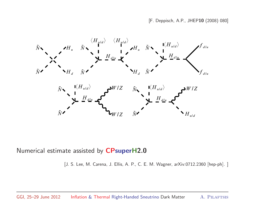[F. Deppisch, A.P., JHEP10 (2008) 080]



Numerical estimate assisted by CPsuperH2.0

[J. S. Lee, M. Carena, J. Ellis, A. P., C. E. M. Wagner, arXiv:0712.2360 [hep-ph]. ]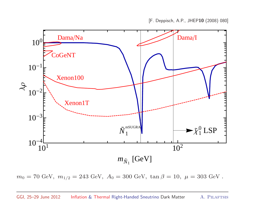

 $m_0 = 70 \text{ GeV}, m_{1/2} = 243 \text{ GeV}, A_0 = 300 \text{ GeV}, \tan \beta = 10, \mu = 303 \text{ GeV}.$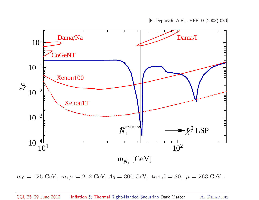

 $m_0 = 125$  GeV,  $\,m_{1/2} = 212$  GeV,  $A_0 = 300$  GeV,  $\tan\beta = 30,\ \mu = 263$  GeV .

#### GGI, 25-29 June 2012 Inflation & Thermal Right-Handed Sneutrino Dark Matter A. PILAFTSIS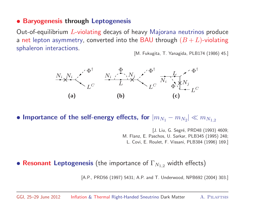#### • Baryogenesis through Leptogenesis

Out-of-equilibrium <sup>L</sup>-violating decays of heavy Majorana neutrinos produce a net lepton asymmetry, converted into the BAU through  $(B + L)$ -violating sphaleron interactions.<br>[M. Fukugita, T. Yanagida, PLB174 (1986) 45.]



• Importance of the self-energy effects, for  $|m_{N_1} - m_{N_2}| \ll m_{N_{1,2}}$ 

[J. Liu, G. Segré, PRD48 (1993) 4609; M. Flanz, E. Paschos, U. Sarkar, PLB345 (1995) 248; L. Covi, E. Roulet, F. Vissani, PLB384 (1996) 169.]

• Resonant Leptogenesis (the importance of  $\Gamma_{N_{1,2}}$  width effects)

[A.P., PRD56 (1997) 5431; A.P. and T. Underwood, NPB692 (2004) 303.]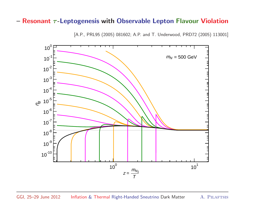#### - Resonant  $\tau$ -Leptogenesis with Observable Lepton Flavour Violation

[A.P., PRL95 (2005) 081602; A.P. and T. Underwood, PRD72 (2005) 113001]

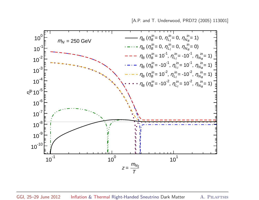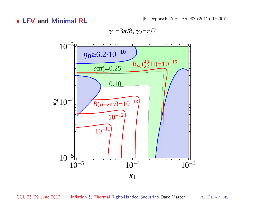• LFV and Minimal RL [F. Deppisch, A.P., PRD83 (2011) 076007.]

 $\gamma_1 = 3\pi/8, \gamma_2 = \pi/2$ 

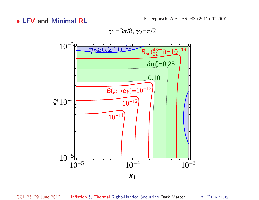• LFV and Minimal RL [F. Deppisch, A.P., PRD83 (2011) 076007.]

 $\gamma_1 = 3\pi/8, \gamma_2 = \pi/2$ 

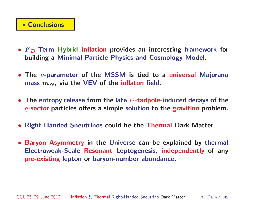#### • Conclusions

- $F<sub>D</sub>$ -Term Hybrid Inflation provides an interesting framework for building <sup>a</sup> Minimal Particle Physics and Cosmology Model.
- The  $\mu$ -parameter of the MSSM is tied to a universal Majorana mass  $m_N$ , via the VEV of the inflaton field.
- The entropy release from the late  $D$ -tadpole-induced decays of the  $g$ -sector particles offers a simple solution to the gravitino problem.
- Right-Handed Sneutrinos could be the Thermal Dark Matter
- Baryon Asymmetry in the Universe can be explained by thermal Electroweak-Scale Resonant Leptogenesis, independently of any pre-existing lepton or baryon-number abundance.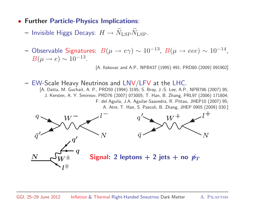- Further Particle-Physics Implications:
	- $-$  Invisible Higgs Decays:  $H\rightarrow \widetilde{N}_{\rm LSP}\widetilde{N}_{\rm LSP}.$
	- $-$  Observable Signatures:  $\ B(\mu\to e\gamma) \sim 10^{-13},\ B(\mu\to eee) \sim 10^{-14}$ ,  $B(\mu \to e) \sim 10^{-13}$ .

[A. Ilakovac and A.P., NPB437 (1995) 491; PRD80 (2009) 091902]

 $-$  EW-Scale Heavy Neutrinos and LNV/LFV at the LHC.

[A. Datta, M. Guchait, A. P., PRD50 (1994) 3195; S. Bray, J.-S. Lee, A.P., NPB786 (2007) 95; J. Kersten, A. Y. Smirnov, PRD76 (2007) 073005; T. Han, B. Zhang, PRL97 (2006) 171804; F. del Aguila, J.A. Aguilar-Saavedra, R. Pittau, JHEP10 (2007) 95; A. Atre, T. Han, S. Pascoli, B. Zhang, JHEP <sup>0905</sup> (2009) 030.]

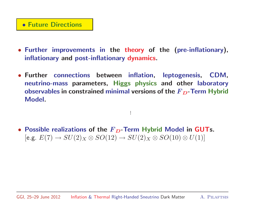#### • Future Directions

- Further improvements in the theory of the (pre-inflationary), inflationary and post-inflationary dynamics.
- Further connections between inflation, leptogenesis, CDM, neutrino-mass parameters, Higgs physics and other laboratory observables in constrained minimal versions of the  $F_D$ -Term Hybrid Model.

...

• Possible realizations of the  $F_D$ -Term Hybrid Model in GUTs. [e.g.  $E(7) \rightarrow SU(2)_X \otimes SO(12) \rightarrow SU(2)_X \otimes SO(10) \otimes U(1)$ ]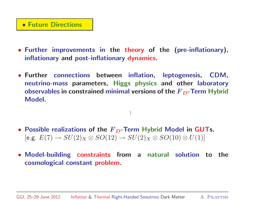#### • Future Directions

- Further improvements in the theory of the (pre-inflationary), inflationary and post-inflationary dynamics.
- Further connections between inflation, leptogenesis, CDM, neutrino-mass parameters, Higgs physics and other laboratory observables in constrained minimal versions of the  $F_D$ -Term Hybrid Model.

...

- Possible realizations of the  $F_D$ -Term Hybrid Model in GUTs. [e.g.  $E(7) \rightarrow SU(2)_X \otimes SO(12) \rightarrow SU(2)_X \otimes SO(10) \otimes U(1)$ ]
- Model-building constraints from <sup>a</sup> natural solution to the cosmological constant problem.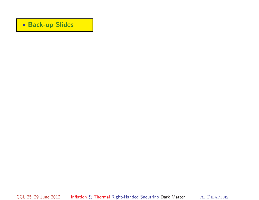#### • Back-up Slides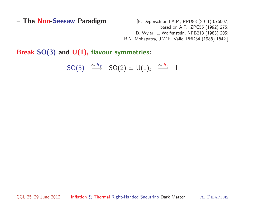- The Non-Seesaw Paradigm [F. Deppisch and A.P., PRD83 (2011) 076007; based on A.P., ZPC55 (1992) 275; D. Wyler, L. Wolfenstein, NPB218 (1983) 205; R.N. Mohapatra, J.W.F. Valle, PRD34 (1986) 1642.]

Break SO(3) and  $U(1)_l$  flavour symmetries:

$$
\mathsf{SO}(3) \quad \overset{\sim h_{\tau}}{\longrightarrow} \quad \mathsf{SO}(2) \simeq \mathsf{U}(1)_l \quad \overset{\sim h_e}{\longrightarrow} \quad \mathsf{I}
$$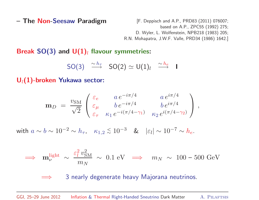- The Non-Seesaw Paradigm [F. Deppisch and A.P., PRD83 (2011) 076007; based on A.P., ZPC55 (1992) 275; D. Wyler, L. Wolfenstein, NPB218 (1983) 205; R.N. Mohapatra, J.W.F. Valle, PRD34 (1986) 1642.]

Break SO(3) and  $U(1)_l$  flavour symmetries:

$$
\mathsf{SO}(3) \quad \overset{\sim h_{\tau}}{\longrightarrow} \quad \mathsf{SO}(2) \simeq \mathsf{U}(1)_l \quad \overset{\sim h_e}{\longrightarrow} \quad \mathsf{I}
$$

 $U_l(1)$ -broken Yukawa sector:

$$
\mathbf{m}_D = \frac{v_{\rm SM}}{\sqrt{2}} \begin{pmatrix} \varepsilon_e & a \, e^{-i\pi/4} & a \, e^{i\pi/4} \\ \varepsilon_\mu & b \, e^{-i\pi/4} & b \, e^{i\pi/4} \\ \varepsilon_\tau & \kappa_1 \, e^{-i(\pi/4 - \gamma_1)} & \kappa_2 \, e^{i(\pi/4 - \gamma_2)} \end{pmatrix} \,,
$$

with  $a \sim b \sim 10^{-2} \sim h_{\tau}$ ,  $\kappa_{1,2} \lesssim 10^{-3}$  &  $|\varepsilon_l| \sim 10^{-7} \sim h_e$ .

$$
\implies \mathbf{m}_{\nu}^{\text{light}} \sim \frac{\varepsilon_l^2 v_{\text{SM}}^2}{m_N} \sim 0.1 \text{ eV} \implies m_N \sim 100 - 500 \text{ GeV}
$$

<sup>=</sup><sup>⇒</sup> <sup>3</sup> nearly degenerate heavy Majorana neutrinos.

GGI, 25-29 June 2012 Inflation & Thermal Right-Handed Sneutrino Dark Matter A. PILAFTSIS